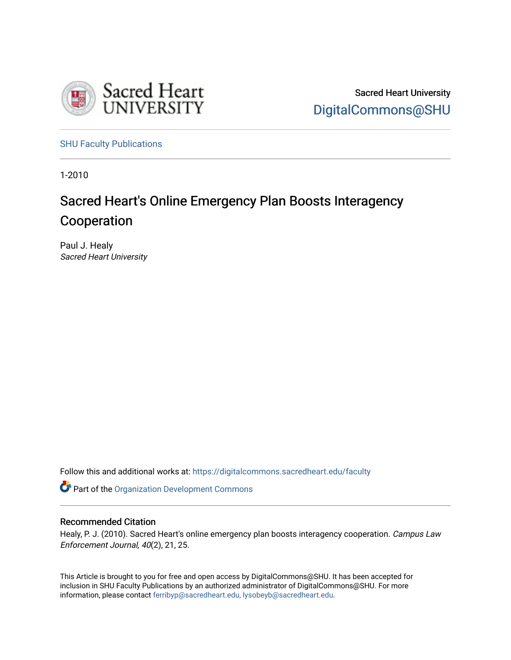

Sacred Heart University [DigitalCommons@SHU](https://digitalcommons.sacredheart.edu/) 

[SHU Faculty Publications](https://digitalcommons.sacredheart.edu/faculty) 

1-2010

## Sacred Heart's Online Emergency Plan Boosts Interagency Cooperation

Paul J. Healy Sacred Heart University

Follow this and additional works at: [https://digitalcommons.sacredheart.edu/faculty](https://digitalcommons.sacredheart.edu/faculty?utm_source=digitalcommons.sacredheart.edu%2Ffaculty%2F16&utm_medium=PDF&utm_campaign=PDFCoverPages)

Part of the [Organization Development Commons](http://network.bepress.com/hgg/discipline/1242?utm_source=digitalcommons.sacredheart.edu%2Ffaculty%2F16&utm_medium=PDF&utm_campaign=PDFCoverPages)

### Recommended Citation

Healy, P. J. (2010). Sacred Heart's online emergency plan boosts interagency cooperation. Campus Law Enforcement Journal, 40(2), 21, 25.

This Article is brought to you for free and open access by DigitalCommons@SHU. It has been accepted for inclusion in SHU Faculty Publications by an authorized administrator of DigitalCommons@SHU. For more information, please contact [ferribyp@sacredheart.edu, lysobeyb@sacredheart.edu](mailto:ferribyp@sacredheart.edu,%20lysobeyb@sacredheart.edu).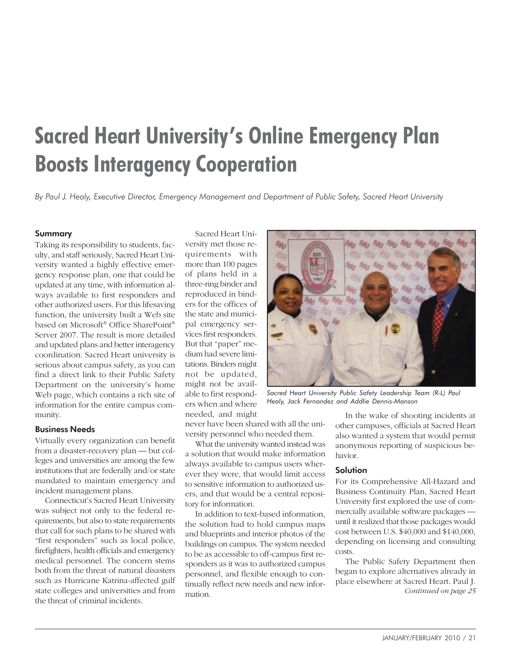# **Sacred Heart University's Online Emergency Plan Boosts Interagency Cooperation**

*By Paul J. Healy, Executive Director, Emergency Management and Department of Public Safety, Sacred Heart University*

#### Summary

Taking its responsibility to students, faculty, and staff seriously, Sacred Heart University wanted a highly effective emergency response plan, one that could be updated at any time, with information always available to first responders and other authorized users. For this lifesaving function, the university built a Web site based on Microsoft® Office SharePoint® Server 2007. The result is more detailed and updated plans and better interagency coordination. Sacred Heart university is serious about campus safety, as you can find a direct link to their Public Safety Department on the university's home Web page, which contains a rich site of information for the entire campus community.

#### Business Needs

Virtually every organization can benefit from a disaster-recovery plan — but colleges and universities are among the few institutions that are federally and/or state mandated to maintain emergency and incident management plans.

Connecticut's Sacred Heart University was subject not only to the federal requirements, but also to state requirements that call for such plans to be shared with "first responders" such as local police, firefighters, health officials and emergency medical personnel. The concern stems both from the threat of natural disasters such as Hurricane Katrina-affected gulf state colleges and universities and from the threat of criminal incidents.

Sacred Heart University met those requirements with more than 100 pages of plans held in a three-ring binder and reproduced in binders for the offices of the state and municipal emergency services first responders. But that "paper" medium had severe limitations. Binders might not be updated, might not be available to first responders when and where needed, and might



*Sacred Heart University Public Safety Leadership Team (R-L) Paul Healy, Jack Fernandez and Addlie Dennis-Manson*

never have been shared with all the university personnel who needed them.

What the university wanted instead was a solution that would make information always available to campus users wherever they were, that would limit access to sensitive information to authorized users, and that would be a central repository for information.

In addition to text-based information, the solution had to hold campus maps and blueprints and interior photos of the buildings on campus. The system needed to be as accessible to off-campus first responders as it was to authorized campus personnel, and flexible enough to continually reflect new needs and new information.

In the wake of shooting incidents at other campuses, officials at Sacred Heart also wanted a system that would permit anonymous reporting of suspicious behavior.

#### **Solution**

For its Comprehensive All-Hazard and Business Continuity Plan, Sacred Heart University first explored the use of commercially available software packages until it realized that those packages would cost between U.S. \$40,000 and \$140,000, depending on licensing and consulting costs.

The Public Safety Department then began to explore alternatives already in place elsewhere at Sacred Heart. Paul J. *Continued on page 25*